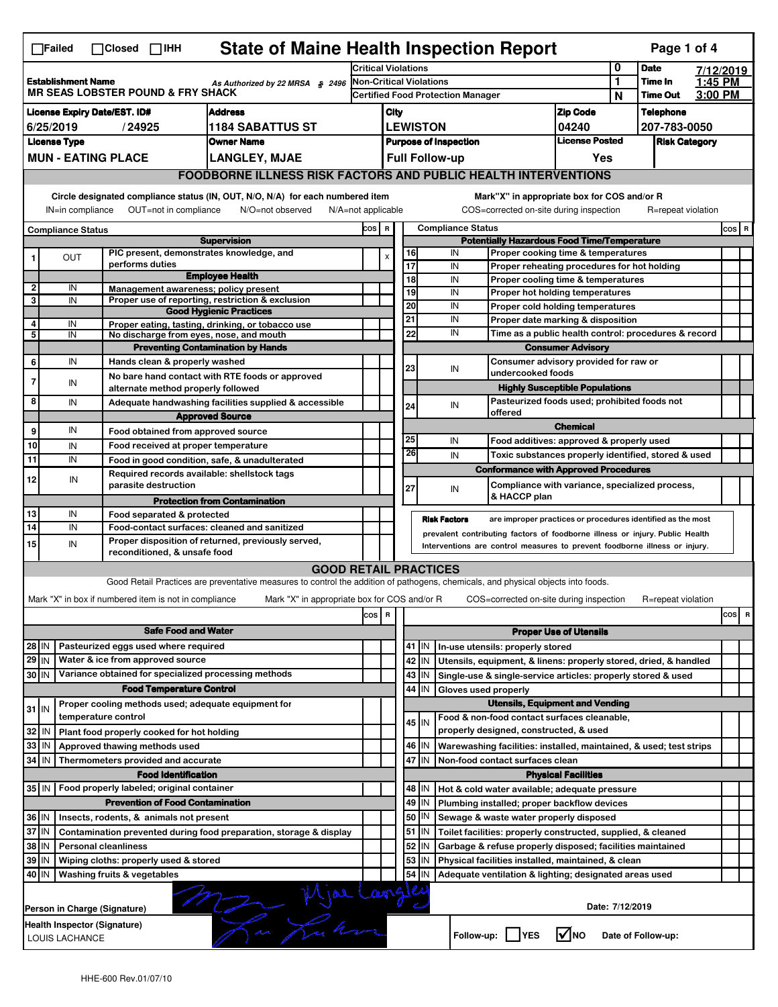|                                                                                                                                                                                                                                                                                       | <b>State of Maine Health Inspection Report</b><br>Page 1 of 4<br>∏Failed<br>$\Box$ Closed $\Box$ IHH                   |                                                                                 |                                                                                                                                                                  |                                                                                                                                   |                                                                     |                                                                                         |                                          |                               |                                                                                       |                                                                       |                                  |                    |                                                      |       |           |
|---------------------------------------------------------------------------------------------------------------------------------------------------------------------------------------------------------------------------------------------------------------------------------------|------------------------------------------------------------------------------------------------------------------------|---------------------------------------------------------------------------------|------------------------------------------------------------------------------------------------------------------------------------------------------------------|-----------------------------------------------------------------------------------------------------------------------------------|---------------------------------------------------------------------|-----------------------------------------------------------------------------------------|------------------------------------------|-------------------------------|---------------------------------------------------------------------------------------|-----------------------------------------------------------------------|----------------------------------|--------------------|------------------------------------------------------|-------|-----------|
|                                                                                                                                                                                                                                                                                       |                                                                                                                        |                                                                                 |                                                                                                                                                                  |                                                                                                                                   |                                                                     | <b>Critical Violations</b>                                                              |                                          |                               |                                                                                       |                                                                       |                                  | 0                  | <b>Date</b>                                          |       | 7/12/2019 |
| <b>Establishment Name</b><br>As Authorized by 22 MRSA $$2496$<br><b>MR SEAS LOBSTER POUND &amp; FRY SHACK</b>                                                                                                                                                                         |                                                                                                                        |                                                                                 |                                                                                                                                                                  | Non-Critical Violations                                                                                                           |                                                                     |                                                                                         |                                          |                               |                                                                                       | $\mathbf{1}$                                                          | Time In<br><b>Time Out</b>       | 1:45 PM<br>3:00 PM |                                                      |       |           |
| <b>Address</b>                                                                                                                                                                                                                                                                        |                                                                                                                        |                                                                                 |                                                                                                                                                                  |                                                                                                                                   |                                                                     | <b>Certified Food Protection Manager</b>                                                |                                          |                               |                                                                                       | N                                                                     |                                  |                    |                                                      |       |           |
| <b>License Expiry Date/EST. ID#</b><br>6/25/2019<br>/24925<br>1184 SABATTUS ST                                                                                                                                                                                                        |                                                                                                                        |                                                                                 |                                                                                                                                                                  |                                                                                                                                   |                                                                     | City<br><b>LEWISTON</b>                                                                 |                                          |                               | <b>Zip Code</b><br>04240                                                              |                                                                       | <b>Telephone</b><br>207-783-0050 |                    |                                                      |       |           |
| <b>License Type</b><br><b>Owner Name</b>                                                                                                                                                                                                                                              |                                                                                                                        |                                                                                 |                                                                                                                                                                  |                                                                                                                                   |                                                                     | <b>Purpose of Inspection</b>                                                            |                                          |                               | <b>License Posted</b>                                                                 |                                                                       | <b>Risk Category</b>             |                    |                                                      |       |           |
|                                                                                                                                                                                                                                                                                       |                                                                                                                        | <b>MUN - EATING PLACE</b>                                                       |                                                                                                                                                                  | <b>LANGLEY, MJAE</b>                                                                                                              |                                                                     | <b>Full Follow-up</b><br>Yes                                                            |                                          |                               |                                                                                       |                                                                       |                                  |                    |                                                      |       |           |
| <b>FOODBORNE ILLNESS RISK FACTORS AND PUBLIC HEALTH INTERVENTIONS</b>                                                                                                                                                                                                                 |                                                                                                                        |                                                                                 |                                                                                                                                                                  |                                                                                                                                   |                                                                     |                                                                                         |                                          |                               |                                                                                       |                                                                       |                                  |                    |                                                      |       |           |
| Circle designated compliance status (IN, OUT, N/O, N/A) for each numbered item<br>Mark"X" in appropriate box for COS and/or R<br>OUT=not in compliance<br>COS=corrected on-site during inspection<br>IN=in compliance<br>N/O=not observed<br>N/A=not applicable<br>R=repeat violation |                                                                                                                        |                                                                                 |                                                                                                                                                                  |                                                                                                                                   |                                                                     |                                                                                         |                                          |                               |                                                                                       |                                                                       |                                  |                    |                                                      |       |           |
| <b>Compliance Status</b>                                                                                                                                                                                                                                                              |                                                                                                                        |                                                                                 |                                                                                                                                                                  |                                                                                                                                   |                                                                     | <b>Compliance Status</b><br>COS R<br><b>Potentially Hazardous Food Time/Temperature</b> |                                          |                               |                                                                                       |                                                                       |                                  |                    |                                                      | COS R |           |
| <b>Supervision</b><br>PIC present, demonstrates knowledge, and                                                                                                                                                                                                                        |                                                                                                                        |                                                                                 |                                                                                                                                                                  |                                                                                                                                   |                                                                     | 16                                                                                      | IN<br>Proper cooking time & temperatures |                               |                                                                                       |                                                                       |                                  |                    |                                                      |       |           |
| 1                                                                                                                                                                                                                                                                                     | <b>OUT</b>                                                                                                             | performs duties                                                                 |                                                                                                                                                                  |                                                                                                                                   |                                                                     |                                                                                         | 17                                       |                               | IN<br>Proper reheating procedures for hot holding                                     |                                                                       |                                  |                    |                                                      |       |           |
| $\overline{2}$                                                                                                                                                                                                                                                                        | IN                                                                                                                     |                                                                                 |                                                                                                                                                                  | <b>Employee Health</b>                                                                                                            |                                                                     |                                                                                         | 18                                       |                               | IN                                                                                    | Proper cooling time & temperatures                                    |                                  |                    |                                                      |       |           |
| 3                                                                                                                                                                                                                                                                                     | IN                                                                                                                     |                                                                                 |                                                                                                                                                                  | Management awareness; policy present<br>Proper use of reporting, restriction & exclusion                                          |                                                                     |                                                                                         | 19                                       |                               | IN                                                                                    | Proper hot holding temperatures                                       |                                  |                    |                                                      |       |           |
|                                                                                                                                                                                                                                                                                       |                                                                                                                        |                                                                                 |                                                                                                                                                                  | <b>Good Hygienic Practices</b>                                                                                                    |                                                                     |                                                                                         | 20<br>21                                 |                               | IN<br>IN                                                                              | Proper cold holding temperatures<br>Proper date marking & disposition |                                  |                    |                                                      |       |           |
| 4<br>5                                                                                                                                                                                                                                                                                | IN<br>IN                                                                                                               |                                                                                 |                                                                                                                                                                  | Proper eating, tasting, drinking, or tobacco use<br>No discharge from eyes, nose, and mouth                                       |                                                                     |                                                                                         | 22                                       |                               | IN                                                                                    |                                                                       |                                  |                    | Time as a public health control: procedures & record |       |           |
|                                                                                                                                                                                                                                                                                       |                                                                                                                        |                                                                                 |                                                                                                                                                                  | <b>Preventing Contamination by Hands</b>                                                                                          |                                                                     |                                                                                         |                                          |                               |                                                                                       |                                                                       | <b>Consumer Advisory</b>         |                    |                                                      |       |           |
| 6                                                                                                                                                                                                                                                                                     | IN                                                                                                                     |                                                                                 | Hands clean & properly washed                                                                                                                                    |                                                                                                                                   |                                                                     |                                                                                         | 23                                       |                               | IN                                                                                    | Consumer advisory provided for raw or                                 |                                  |                    |                                                      |       |           |
| $\overline{7}$                                                                                                                                                                                                                                                                        | IN                                                                                                                     |                                                                                 |                                                                                                                                                                  | No bare hand contact with RTE foods or approved                                                                                   |                                                                     |                                                                                         |                                          |                               |                                                                                       | undercooked foods                                                     |                                  |                    |                                                      |       |           |
| 8                                                                                                                                                                                                                                                                                     |                                                                                                                        |                                                                                 | alternate method properly followed                                                                                                                               |                                                                                                                                   |                                                                     |                                                                                         |                                          |                               |                                                                                       | <b>Highly Susceptible Populations</b>                                 |                                  |                    |                                                      |       |           |
|                                                                                                                                                                                                                                                                                       | IN                                                                                                                     |                                                                                 |                                                                                                                                                                  | Adequate handwashing facilities supplied & accessible                                                                             | Pasteurized foods used; prohibited foods not<br>24<br>IN<br>offered |                                                                                         |                                          |                               |                                                                                       |                                                                       |                                  |                    |                                                      |       |           |
| 9                                                                                                                                                                                                                                                                                     | IN                                                                                                                     | <b>Approved Source</b><br><b>Chemical</b><br>Food obtained from approved source |                                                                                                                                                                  |                                                                                                                                   |                                                                     |                                                                                         |                                          |                               |                                                                                       |                                                                       |                                  |                    |                                                      |       |           |
| 10                                                                                                                                                                                                                                                                                    | IN                                                                                                                     |                                                                                 |                                                                                                                                                                  | Food received at proper temperature                                                                                               |                                                                     |                                                                                         | 25                                       |                               | IN                                                                                    | Food additives: approved & properly used                              |                                  |                    |                                                      |       |           |
| 11                                                                                                                                                                                                                                                                                    | IN                                                                                                                     |                                                                                 |                                                                                                                                                                  | Food in good condition, safe, & unadulterated                                                                                     |                                                                     |                                                                                         |                                          | 26                            | IN                                                                                    | Toxic substances properly identified, stored & used                   |                                  |                    |                                                      |       |           |
|                                                                                                                                                                                                                                                                                       |                                                                                                                        |                                                                                 |                                                                                                                                                                  | Required records available: shellstock tags                                                                                       |                                                                     |                                                                                         |                                          |                               |                                                                                       | <b>Conformance with Approved Procedures</b>                           |                                  |                    |                                                      |       |           |
| 12                                                                                                                                                                                                                                                                                    | IN                                                                                                                     |                                                                                 | parasite destruction                                                                                                                                             |                                                                                                                                   |                                                                     |                                                                                         | 27                                       |                               | IN                                                                                    | Compliance with variance, specialized process,                        |                                  |                    |                                                      |       |           |
|                                                                                                                                                                                                                                                                                       |                                                                                                                        |                                                                                 |                                                                                                                                                                  | <b>Protection from Contamination</b>                                                                                              |                                                                     |                                                                                         |                                          |                               |                                                                                       | & HACCP plan                                                          |                                  |                    |                                                      |       |           |
| 13<br>14                                                                                                                                                                                                                                                                              | IN<br>IN                                                                                                               |                                                                                 | Food separated & protected<br><b>Risk Factors</b><br>are improper practices or procedures identified as the most<br>Food-contact surfaces: cleaned and sanitized |                                                                                                                                   |                                                                     |                                                                                         |                                          |                               |                                                                                       |                                                                       |                                  |                    |                                                      |       |           |
|                                                                                                                                                                                                                                                                                       |                                                                                                                        |                                                                                 |                                                                                                                                                                  | Proper disposition of returned, previously served,                                                                                |                                                                     | prevalent contributing factors of foodborne illness or injury. Public Health            |                                          |                               |                                                                                       |                                                                       |                                  |                    |                                                      |       |           |
|                                                                                                                                                                                                                                                                                       | 15<br>IN<br>Interventions are control measures to prevent foodborne illness or injury.<br>reconditioned, & unsafe food |                                                                                 |                                                                                                                                                                  |                                                                                                                                   |                                                                     |                                                                                         |                                          |                               |                                                                                       |                                                                       |                                  |                    |                                                      |       |           |
|                                                                                                                                                                                                                                                                                       |                                                                                                                        |                                                                                 |                                                                                                                                                                  | <b>GOOD RETAIL PRACTICES</b>                                                                                                      |                                                                     |                                                                                         |                                          |                               |                                                                                       |                                                                       |                                  |                    |                                                      |       |           |
|                                                                                                                                                                                                                                                                                       |                                                                                                                        |                                                                                 |                                                                                                                                                                  | Good Retail Practices are preventative measures to control the addition of pathogens, chemicals, and physical objects into foods. |                                                                     |                                                                                         |                                          |                               |                                                                                       |                                                                       |                                  |                    |                                                      |       |           |
|                                                                                                                                                                                                                                                                                       |                                                                                                                        | Mark "X" in box if numbered item is not in compliance                           |                                                                                                                                                                  | Mark "X" in appropriate box for COS and/or R                                                                                      |                                                                     |                                                                                         |                                          |                               |                                                                                       | COS=corrected on-site during inspection                               |                                  |                    | R=repeat violation                                   |       |           |
|                                                                                                                                                                                                                                                                                       |                                                                                                                        |                                                                                 |                                                                                                                                                                  |                                                                                                                                   | cos                                                                 | R                                                                                       |                                          |                               |                                                                                       |                                                                       |                                  |                    |                                                      |       | cos<br>R  |
|                                                                                                                                                                                                                                                                                       |                                                                                                                        |                                                                                 | <b>Safe Food and Water</b>                                                                                                                                       |                                                                                                                                   |                                                                     |                                                                                         |                                          | <b>Proper Use of Utensils</b> |                                                                                       |                                                                       |                                  |                    |                                                      |       |           |
| Pasteurized eggs used where required<br>28 IN                                                                                                                                                                                                                                         |                                                                                                                        |                                                                                 |                                                                                                                                                                  |                                                                                                                                   |                                                                     |                                                                                         | 41 J IN                                  |                               | In-use utensils: properly stored                                                      |                                                                       |                                  |                    |                                                      |       |           |
| 29 IN<br>30 IN                                                                                                                                                                                                                                                                        |                                                                                                                        | Water & ice from approved source                                                |                                                                                                                                                                  | Variance obtained for specialized processing methods                                                                              |                                                                     |                                                                                         |                                          | 42<br>IN                      |                                                                                       | Utensils, equipment, & linens: properly stored, dried, & handled      |                                  |                    |                                                      |       |           |
|                                                                                                                                                                                                                                                                                       |                                                                                                                        |                                                                                 | <b>Food Temperature Control</b>                                                                                                                                  |                                                                                                                                   |                                                                     |                                                                                         |                                          | 43   IN<br>44 IN              | Gloves used properly                                                                  | Single-use & single-service articles: properly stored & used          |                                  |                    |                                                      |       |           |
|                                                                                                                                                                                                                                                                                       |                                                                                                                        |                                                                                 |                                                                                                                                                                  | Proper cooling methods used; adequate equipment for                                                                               |                                                                     |                                                                                         |                                          |                               |                                                                                       | <b>Utensils, Equipment and Vending</b>                                |                                  |                    |                                                      |       |           |
| $31$ IN                                                                                                                                                                                                                                                                               |                                                                                                                        | temperature control                                                             |                                                                                                                                                                  |                                                                                                                                   |                                                                     |                                                                                         |                                          | $45$ IN                       |                                                                                       | Food & non-food contact surfaces cleanable,                           |                                  |                    |                                                      |       |           |
| 32                                                                                                                                                                                                                                                                                    | l IN                                                                                                                   | Plant food properly cooked for hot holding                                      |                                                                                                                                                                  |                                                                                                                                   |                                                                     |                                                                                         |                                          |                               |                                                                                       | properly designed, constructed, & used                                |                                  |                    |                                                      |       |           |
| 33                                                                                                                                                                                                                                                                                    | l IN                                                                                                                   | Approved thawing methods used                                                   |                                                                                                                                                                  |                                                                                                                                   |                                                                     |                                                                                         |                                          | 46 IN                         | Warewashing facilities: installed, maintained, & used; test strips                    |                                                                       |                                  |                    |                                                      |       |           |
| 34                                                                                                                                                                                                                                                                                    | IN                                                                                                                     | Thermometers provided and accurate                                              |                                                                                                                                                                  |                                                                                                                                   |                                                                     |                                                                                         |                                          | 47<br>IN                      |                                                                                       | Non-food contact surfaces clean                                       |                                  |                    |                                                      |       |           |
|                                                                                                                                                                                                                                                                                       |                                                                                                                        |                                                                                 | <b>Food Identification</b>                                                                                                                                       |                                                                                                                                   |                                                                     |                                                                                         |                                          |                               |                                                                                       |                                                                       | <b>Physical Facilities</b>       |                    |                                                      |       |           |
| 35 IN   Food properly labeled; original container                                                                                                                                                                                                                                     |                                                                                                                        |                                                                                 |                                                                                                                                                                  |                                                                                                                                   |                                                                     | 48   IN<br>Hot & cold water available; adequate pressure                                |                                          |                               |                                                                                       |                                                                       |                                  |                    |                                                      |       |           |
| <b>Prevention of Food Contamination</b><br>Insects, rodents, & animals not present                                                                                                                                                                                                    |                                                                                                                        |                                                                                 |                                                                                                                                                                  |                                                                                                                                   |                                                                     | 50                                                                                      | 49 IN<br>IN                              |                               | Plumbing installed; proper backflow devices<br>Sewage & waste water properly disposed |                                                                       |                                  |                    |                                                      |       |           |
| 36 IN<br>37 IN                                                                                                                                                                                                                                                                        |                                                                                                                        |                                                                                 |                                                                                                                                                                  |                                                                                                                                   |                                                                     |                                                                                         |                                          | 51<br>IN                      |                                                                                       | Toilet facilities: properly constructed, supplied, & cleaned          |                                  |                    |                                                      |       |           |
| Contamination prevented during food preparation, storage & display<br>38 IN<br><b>Personal cleanliness</b>                                                                                                                                                                            |                                                                                                                        |                                                                                 |                                                                                                                                                                  |                                                                                                                                   |                                                                     |                                                                                         | 52<br>IN                                 |                               | Garbage & refuse properly disposed; facilities maintained                             |                                                                       |                                  |                    |                                                      |       |           |
| 39                                                                                                                                                                                                                                                                                    | ΙM                                                                                                                     | Wiping cloths: properly used & stored                                           |                                                                                                                                                                  |                                                                                                                                   |                                                                     |                                                                                         |                                          | 53<br>IN                      |                                                                                       | Physical facilities installed, maintained, & clean                    |                                  |                    |                                                      |       |           |
| 40 IN                                                                                                                                                                                                                                                                                 |                                                                                                                        | Washing fruits & vegetables                                                     |                                                                                                                                                                  |                                                                                                                                   |                                                                     |                                                                                         | 54                                       | IN                            |                                                                                       | Adequate ventilation & lighting; designated areas used                |                                  |                    |                                                      |       |           |
| 7 Mjarlangler<br>5 m Ku kon<br>Date: 7/12/2019<br>Person in Charge (Signature)                                                                                                                                                                                                        |                                                                                                                        |                                                                                 |                                                                                                                                                                  |                                                                                                                                   |                                                                     |                                                                                         |                                          |                               |                                                                                       |                                                                       |                                  |                    |                                                      |       |           |
|                                                                                                                                                                                                                                                                                       | Health Inspector (Signature)<br>LOUIS LACHANCE                                                                         |                                                                                 |                                                                                                                                                                  |                                                                                                                                   |                                                                     |                                                                                         |                                          |                               |                                                                                       | Follow-up:     YES                                                    | l√lno                            |                    | Date of Follow-up:                                   |       |           |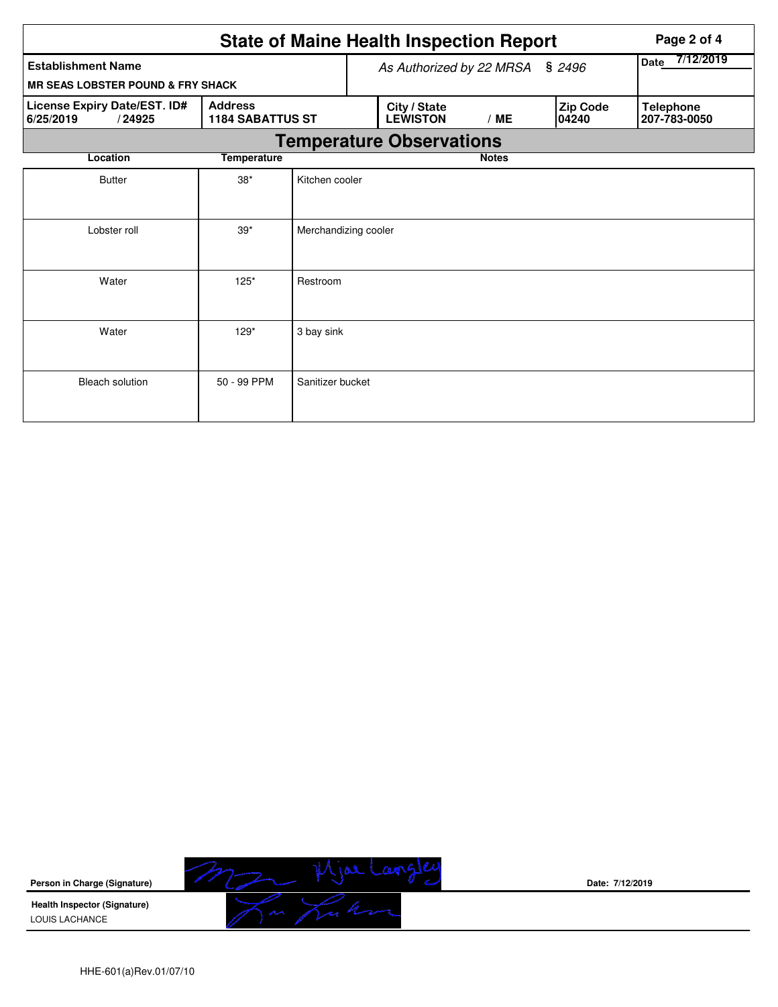|                                                     | Page 2 of 4                               |                                    |  |                                 |              |                          |                   |                                  |  |  |
|-----------------------------------------------------|-------------------------------------------|------------------------------------|--|---------------------------------|--------------|--------------------------|-------------------|----------------------------------|--|--|
| <b>Establishment Name</b>                           |                                           | \$2496<br>As Authorized by 22 MRSA |  |                                 |              | 7/12/2019<br><b>Date</b> |                   |                                  |  |  |
| <b>MR SEAS LOBSTER POUND &amp; FRY SHACK</b>        |                                           |                                    |  |                                 |              |                          |                   |                                  |  |  |
| License Expiry Date/EST. ID#<br>6/25/2019<br>/24925 | <b>Address</b><br><b>1184 SABATTUS ST</b> |                                    |  | City / State<br><b>LEWISTON</b> | /ME          |                          | Zip Code<br>04240 | <b>Telephone</b><br>207-783-0050 |  |  |
| <b>Temperature Observations</b>                     |                                           |                                    |  |                                 |              |                          |                   |                                  |  |  |
| Location                                            | <b>Temperature</b>                        |                                    |  |                                 | <b>Notes</b> |                          |                   |                                  |  |  |
| <b>Butter</b>                                       | $38*$                                     | Kitchen cooler                     |  |                                 |              |                          |                   |                                  |  |  |
| Lobster roll                                        | $39*$                                     | Merchandizing cooler               |  |                                 |              |                          |                   |                                  |  |  |
| Water                                               | $125*$                                    | Restroom                           |  |                                 |              |                          |                   |                                  |  |  |
| Water                                               | $129*$                                    | 3 bay sink                         |  |                                 |              |                          |                   |                                  |  |  |
| <b>Bleach solution</b>                              | 50 - 99 PPM                               | Sanitizer bucket                   |  |                                 |              |                          |                   |                                  |  |  |



**Date: 7/12/2019**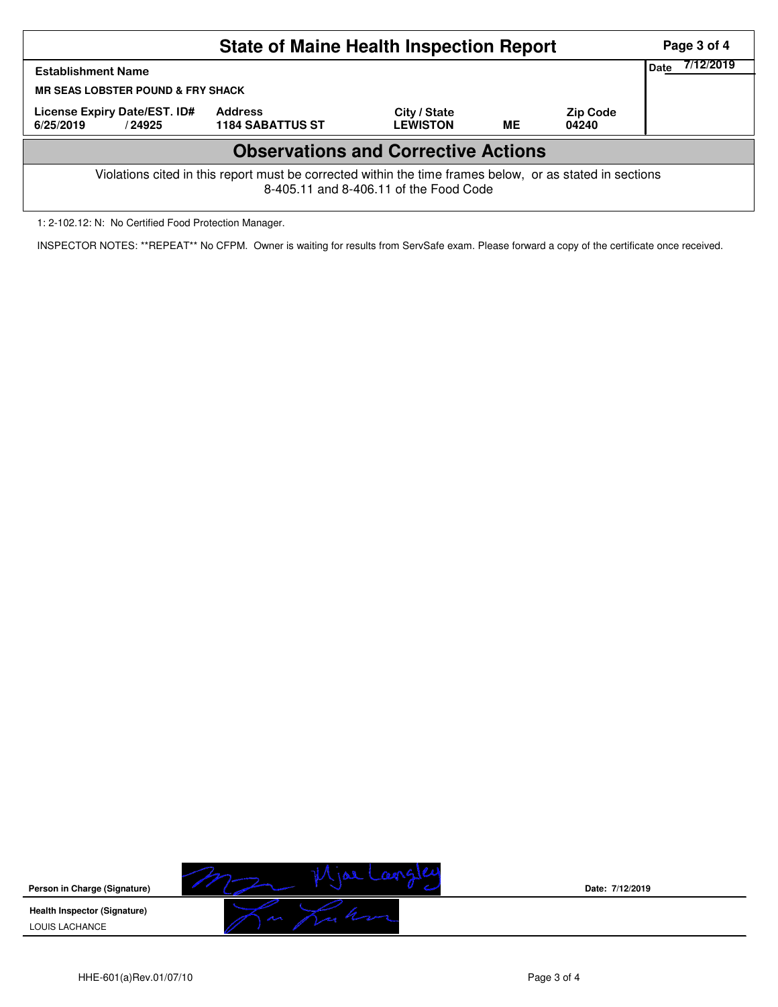|                                                                                                                                                    | Page 3 of 4                               |                                 |           |                          |  |  |  |  |
|----------------------------------------------------------------------------------------------------------------------------------------------------|-------------------------------------------|---------------------------------|-----------|--------------------------|--|--|--|--|
| <b>Establishment Name</b>                                                                                                                          | 7/12/2019<br>Date                         |                                 |           |                          |  |  |  |  |
| <b>MR SEAS LOBSTER POUND &amp; FRY SHACK</b>                                                                                                       |                                           |                                 |           |                          |  |  |  |  |
| License Expiry Date/EST. ID#<br>6/25/2019<br>/24925                                                                                                | <b>Address</b><br><b>1184 SABATTUS ST</b> | City / State<br><b>LEWISTON</b> | <b>ME</b> | <b>Zip Code</b><br>04240 |  |  |  |  |
| <b>Observations and Corrective Actions</b>                                                                                                         |                                           |                                 |           |                          |  |  |  |  |
| Violations cited in this report must be corrected within the time frames below, or as stated in sections<br>8-405.11 and 8-406.11 of the Food Code |                                           |                                 |           |                          |  |  |  |  |

1: 2-102.12: N: No Certified Food Protection Manager.

INSPECTOR NOTES: \*\*REPEAT\*\* No CFPM. Owner is waiting for results from ServSafe exam. Please forward a copy of the certificate once received.



**Date: 7/12/2019**